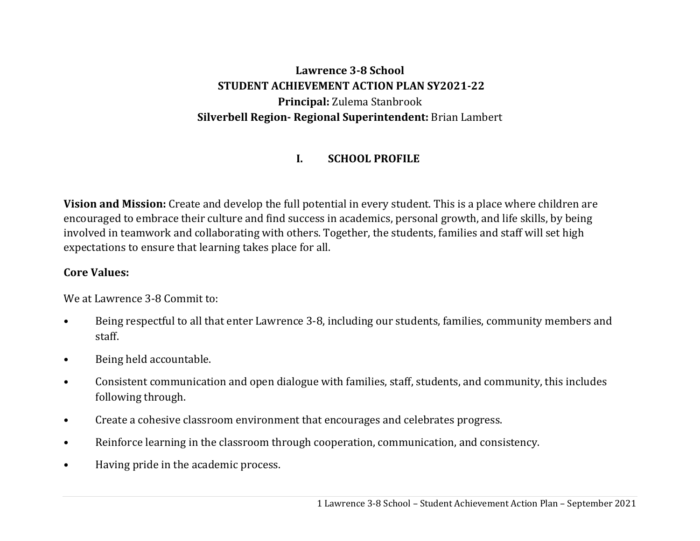# **Lawrence 3‐8 School STUDENT ACHIEVEMENT ACTION PLAN SY2021‐22 Principal:** Zulema Stanbrook **Silverbell Region‐ Regional Superintendent:** Brian Lambert

#### **I.SCHOOL PROFILE**

**Vision and Mission:** Create and develop the full potential in every student. This is a place where children are encouraged to embrace their culture and find success in academics, personal growth, and life skills, by being involved in teamwork and collaborating with others. Together, the students, families and staff will set high expectations to ensure that learning takes place for all.

#### **Core Values:**

We at Lawrence 3-8 Commit to:

- Being respectful to all that enter Lawrence 3-8, including our students, families, community members and staff.
- Being held accountable.
- Consistent communication and open dialogue with families, staff, students, and community, this includes following through.
- Create a cohesive classroom environment that encourages and celebrates progress.
- Reinforce learning in the classroom through cooperation, communication, and consistency.
- Having pride in the academic process.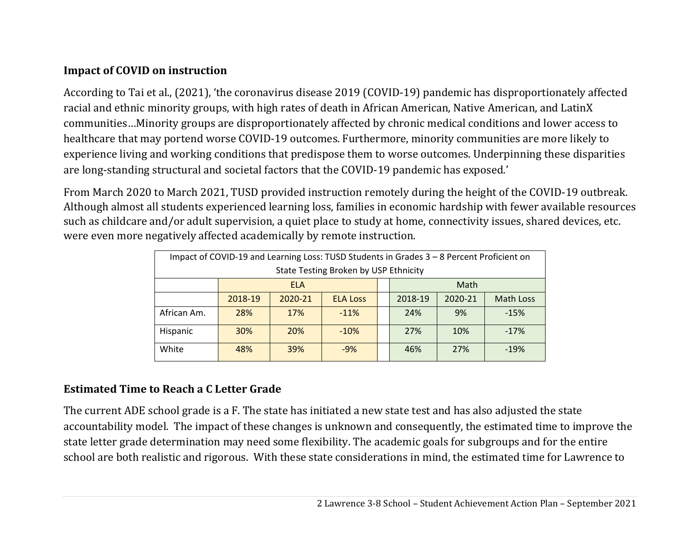### **Impact of COVID on instruction**

According to Tai et al., (2021), 'the coronavirus disease 2019 (COVID-19) pandemic has disproportionately affected racial and ethnic minority groups, with high rates of death in African American, Native American, and LatinX communities…Minority groups are disproportionately affected by chronic medical conditions and lower access to healthcare that may portend worse COVID-19 outcomes. Furthermore, minority communities are more likely to experience living and working conditions that predispose them to worse outcomes. Underpinning these disparities are long-standing structural and societal factors that the COVID-19 pandemic has exposed.'

From March 2020 to March 2021, TUSD provided instruction remotely during the height of the COVID-19 outbreak. Although almost all students experienced learning loss, families in economic hardship with fewer available resources such as childcare and/or adult supervision, a quiet place to study at home, connectivity issues, shared devices, etc. were even more negatively affected academically by remote instruction.

| Impact of COVID-19 and Learning Loss: TUSD Students in Grades 3 - 8 Percent Proficient on |                    |         |                 |  |         |         |                  |  |  |  |  |
|-------------------------------------------------------------------------------------------|--------------------|---------|-----------------|--|---------|---------|------------------|--|--|--|--|
| State Testing Broken by USP Ethnicity                                                     |                    |         |                 |  |         |         |                  |  |  |  |  |
|                                                                                           | Math<br><b>ELA</b> |         |                 |  |         |         |                  |  |  |  |  |
|                                                                                           | 2018-19            | 2020-21 | <b>ELA Loss</b> |  | 2018-19 | 2020-21 | <b>Math Loss</b> |  |  |  |  |
| African Am.                                                                               | 28%                | 17%     | $-11%$          |  | 24%     | 9%      | $-15%$           |  |  |  |  |
| Hispanic                                                                                  | 30%                | 20%     | $-10%$          |  | 27%     | 10%     | $-17%$           |  |  |  |  |
| White                                                                                     | 48%                | 39%     | $-9%$           |  | 46%     | 27%     | $-19%$           |  |  |  |  |

### **Estimated Time to Reach <sup>a</sup> C Letter Grade**

The current ADE school grade is a F. The state has initiated a new state test and has also adjusted the state accountability model. The impact of these changes is unknown and consequently, the estimated time to improve the state letter grade determination may need some flexibility. The academic goals for subgroups and for the entire school are both realistic and rigorous. With these state considerations in mind, the estimated time for Lawrence to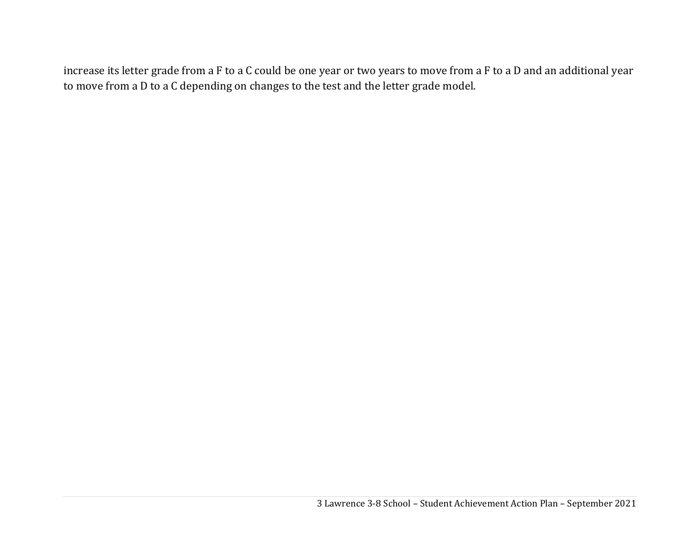increase its letter grade from a F to a C could be one year or two years to move from a F to a D and an additional year to move from a D to a C depending on changes to the test and the letter grade model.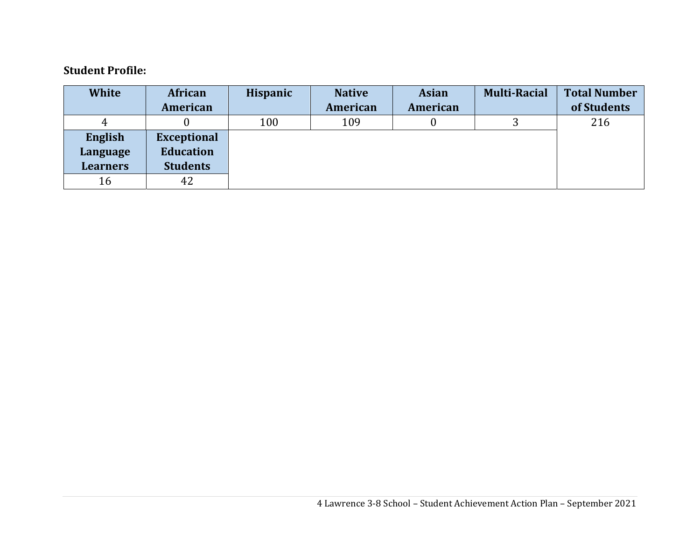#### **Student Profile:**

| <b>White</b>    | African            | Hispanic | <b>Native</b> | <b>Asian</b> | <b>Multi-Racial</b> | <b>Total Number</b> |
|-----------------|--------------------|----------|---------------|--------------|---------------------|---------------------|
|                 | American           |          | American      | American     |                     | of Students         |
|                 |                    | 100      | 109           |              |                     | 216                 |
| English         | <b>Exceptional</b> |          |               |              |                     |                     |
| Language        | <b>Education</b>   |          |               |              |                     |                     |
| <b>Learners</b> | <b>Students</b>    |          |               |              |                     |                     |
| 16              | 42                 |          |               |              |                     |                     |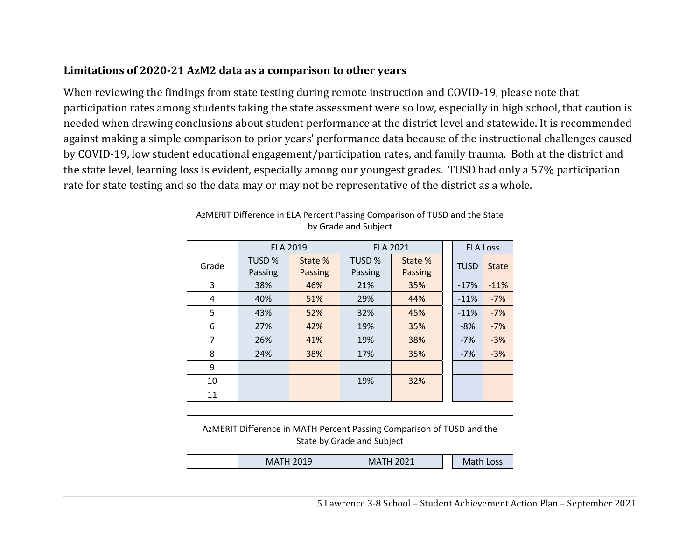#### **Limitations of 2020‐21 AzM2 data as <sup>a</sup> comparison to other years**

 $\Gamma$ 

When reviewing the findings from state testing during remote instruction and COVID-19, please note that participation rates among students taking the state assessment were so low, especially in high school, that caution is needed when drawing conclusions about student performance at the district level and statewide. It is recommended against making a simple comparison to prior years' performance data because of the instructional challenges caused by COVID-19, low student educational engagement/participation rates, and family trauma. Both at the district and the state level, learning loss is evident, especially among our youngest grades. TUSD had only a 57% participation rate for state testing and so the data may or may not be representative of the district as a whole.

| AzMERIT Difference in ELA Percent Passing Comparison of TUSD and the State<br>by Grade and Subject |                   |                    |                   |                    |  |                 |              |  |  |  |  |
|----------------------------------------------------------------------------------------------------|-------------------|--------------------|-------------------|--------------------|--|-----------------|--------------|--|--|--|--|
|                                                                                                    | <b>ELA 2019</b>   |                    | <b>ELA 2021</b>   |                    |  | <b>ELA Loss</b> |              |  |  |  |  |
| Grade                                                                                              | TUSD %<br>Passing | State %<br>Passing | TUSD %<br>Passing | State %<br>Passing |  | <b>TUSD</b>     | <b>State</b> |  |  |  |  |
| 3                                                                                                  | 38%               | 46%                | 21%               | 35%                |  | $-17%$          | $-11%$       |  |  |  |  |
| 4                                                                                                  | 40%               | 51%                | 29%               | 44%                |  | $-11%$          | $-7%$        |  |  |  |  |
| 5                                                                                                  | 43%               | 52%                | 32%               | 45%                |  | $-11%$          | $-7%$        |  |  |  |  |
| 6                                                                                                  | 27%               | 42%                | 19%               | 35%                |  | $-8%$           | $-7%$        |  |  |  |  |
| $\overline{7}$                                                                                     | 26%               | 41%                | 19%               | 38%                |  | $-7%$           | $-3%$        |  |  |  |  |
| 8                                                                                                  | 24%               | 38%                | 17%               | 35%                |  | $-7%$           | $-3%$        |  |  |  |  |
| 9                                                                                                  |                   |                    |                   |                    |  |                 |              |  |  |  |  |
| 10                                                                                                 |                   |                    | 19%               | 32%                |  |                 |              |  |  |  |  |
| 11                                                                                                 |                   |                    |                   |                    |  |                 |              |  |  |  |  |

|                                                   |  | AzMERIT Difference in MATH Percent Passing Comparison of TUSD and the<br>State by Grade and Subject |  |  |  |  |  |  |  |
|---------------------------------------------------|--|-----------------------------------------------------------------------------------------------------|--|--|--|--|--|--|--|
| Math Loss<br><b>MATH 2019</b><br><b>MATH 2021</b> |  |                                                                                                     |  |  |  |  |  |  |  |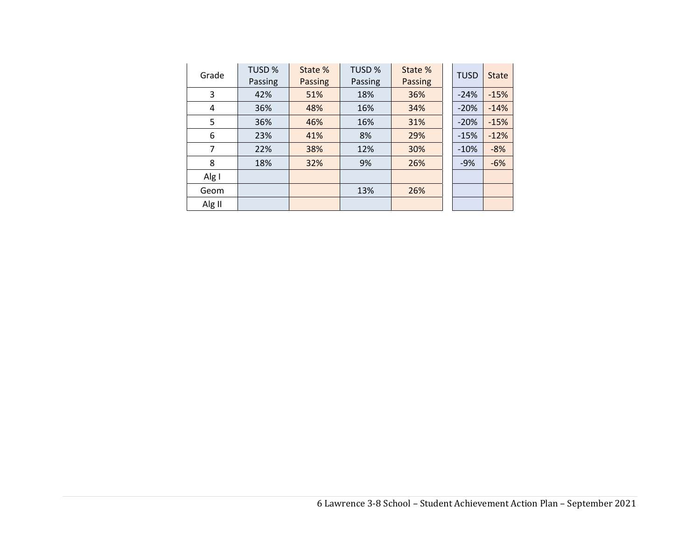| Grade  | <b>TUSD %</b><br>Passing | State %<br>Passing | TUSD %<br>Passing | State %<br><b>Passing</b> | <b>TUSD</b> | <b>State</b> |
|--------|--------------------------|--------------------|-------------------|---------------------------|-------------|--------------|
| 3      | 42%                      | 51%                | 18%               | 36%                       | $-24%$      | $-15%$       |
| 4      | 36%                      | 48%                | 16%               | 34%                       | $-20%$      | $-14%$       |
| 5      | 36%                      | 46%                | 16%               | 31%                       | $-20%$      | $-15%$       |
| 6      | 23%                      | 41%                | 8%                | 29%                       | $-15%$      | $-12%$       |
| 7      | 22%                      | 38%                | 12%               | 30%                       | $-10%$      | $-8%$        |
| 8      | 18%                      | 32%                | 9%                | 26%                       | $-9%$       | $-6%$        |
| Alg I  |                          |                    |                   |                           |             |              |
| Geom   |                          |                    | 13%               | 26%                       |             |              |
| Alg II |                          |                    |                   |                           |             |              |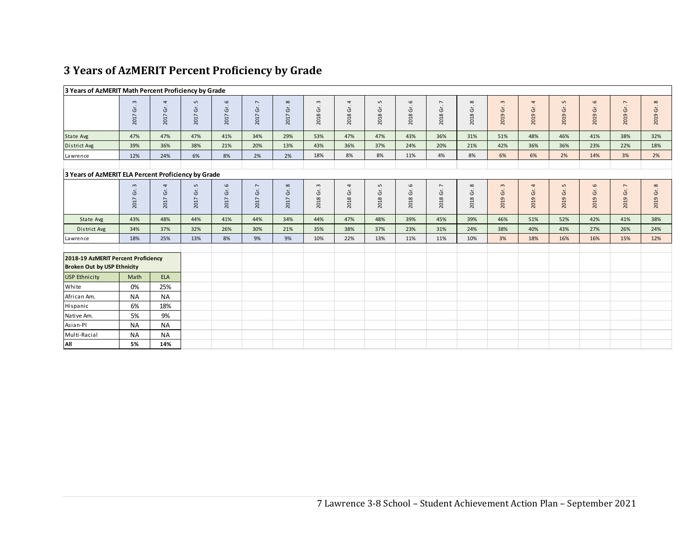#### **3 Years of AzMERIT Percent Proficiency by Grade**

|                                                                           | 3 Years of AzMERIT Math Percent Proficiency by Grade |                                   |                                              |                  |                                         |            |                            |                  |                    |                               |                                        |                      |                             |               |                          |                                            |                               |                      |
|---------------------------------------------------------------------------|------------------------------------------------------|-----------------------------------|----------------------------------------------|------------------|-----------------------------------------|------------|----------------------------|------------------|--------------------|-------------------------------|----------------------------------------|----------------------|-----------------------------|---------------|--------------------------|--------------------------------------------|-------------------------------|----------------------|
|                                                                           | $\mathsf m$<br>$\mathfrak{\dot{5}}$<br>2017          | $\overline{a}$<br>Gr.<br>2017     | $\mathsf{L}$<br>$\mathfrak{\dot{5}}$<br>2017 | 6<br>2017 Gr.    | $\overline{\phantom{a}}$<br>2017 Gr.    | 2017 Gr. 8 | $\mathsf{c}$<br>Ġ.<br>2018 | 4<br>2018 Gr.    | LO.<br>Gr.<br>2018 | 2018 Gr. 6                    | $\overline{ }$<br>2018 Gr.             | $\infty$<br>2018 Gr. | $\mathbf{c}$<br>2019 Gr.    | 4<br>2019 Gr. | 5<br>2019 Gr.            | 6<br>Gr.<br>2019                           | Gr. 7<br>2019                 | $\infty$<br>2019 Gr. |
| State Avg                                                                 | 47%                                                  | 47%                               | 47%                                          | 41%              | 34%                                     | 29%        | 53%                        | 47%              | 47%                | 43%                           | 36%                                    | 31%                  | 51%                         | 48%           | 46%                      | 41%                                        | 38%                           | 32%                  |
| District Avg                                                              | 39%                                                  | 36%                               | 38%                                          | 21%              | 20%                                     | 13%        | 43%                        | 36%              | 37%                | 24%                           | 20%                                    | 21%                  | 42%                         | 36%           | 36%                      | 23%                                        | 22%                           | 18%                  |
| Lawrence                                                                  | 12%                                                  | 24%                               | 6%                                           | 8%               | 2%                                      | 2%         | 18%                        | 8%               | 8%                 | 11%                           | 4%                                     | 8%                   | 6%                          | 6%            | 2%                       | 14%                                        | 3%                            | 2%                   |
| 3 Years of AzMERIT ELA Percent Proficiency by Grade                       |                                                      |                                   |                                              |                  |                                         |            |                            |                  |                    |                               |                                        |                      |                             |               |                          |                                            |                               |                      |
|                                                                           | $\mathsf{m}$<br>Ġ.<br>2017                           | 4<br>$\mathfrak{\dot{5}}$<br>2017 | S<br>$\mathfrak{\dot{5}}$<br>2017            | 6<br>Ġŕ.<br>2017 | $\overline{\phantom{a}}$<br>Gr.<br>2017 | 2017 Gr. 8 | $\mathsf{c}$<br>Ġ.<br>2018 | 4<br>Ğŕ.<br>2018 | S<br>Ġ.<br>2018    | $\mathbf \omega$<br>Ġ<br>2018 | $\overline{\phantom{a}}$<br>Ġ.<br>2018 | $\infty$<br>2018 Gr. | $\mathsf{m}$<br>Gr.<br>2019 | 4<br>2019 Gr. | $\mathsf{S}$<br>2019 Gr. | $\mathbf \omega$<br>$\mathsf{G}$ .<br>2019 | $\overline{ }$<br>Gr.<br>2019 | $\infty$<br>2019 Gr. |
| State Avg                                                                 | 43%                                                  | 48%                               | 44%                                          | 41%              | 44%                                     | 34%        | 44%                        | 47%              | 48%                | 39%                           | 45%                                    | 39%                  | 46%                         | 51%           | 52%                      | 42%                                        | 41%                           | 38%                  |
| District Avg                                                              | 34%                                                  | 37%                               | 32%                                          | 26%              | 30%                                     | 21%        | 35%                        | 38%              | 37%                | 23%                           | 31%                                    | 24%                  | 38%                         | 40%           | 43%                      | 27%                                        | 26%                           | 24%                  |
| Lawrence                                                                  | 18%                                                  | 25%                               | 13%                                          | 8%               | 9%                                      | 9%         | 10%                        | 22%              | 13%                | 11%                           | 11%                                    | 10%                  | 3%                          | 18%           | 16%                      | 16%                                        | 15%                           | 12%                  |
| 2018-19 AzMERIT Percent Proficiency<br><b>Broken Out by USP Ethnicity</b> |                                                      |                                   |                                              |                  |                                         |            |                            |                  |                    |                               |                                        |                      |                             |               |                          |                                            |                               |                      |
| <b>USP Ethnicity</b>                                                      | Math                                                 | <b>ELA</b>                        |                                              |                  |                                         |            |                            |                  |                    |                               |                                        |                      |                             |               |                          |                                            |                               |                      |
| White                                                                     | 0%                                                   | 25%                               |                                              |                  |                                         |            |                            |                  |                    |                               |                                        |                      |                             |               |                          |                                            |                               |                      |
| African Am.                                                               | <b>NA</b>                                            | <b>NA</b>                         |                                              |                  |                                         |            |                            |                  |                    |                               |                                        |                      |                             |               |                          |                                            |                               |                      |
| Hispanic                                                                  | 6%                                                   | 18%                               |                                              |                  |                                         |            |                            |                  |                    |                               |                                        |                      |                             |               |                          |                                            |                               |                      |
| Native Am.                                                                | 5%                                                   | 9%                                |                                              |                  |                                         |            |                            |                  |                    |                               |                                        |                      |                             |               |                          |                                            |                               |                      |
| Asian-Pl                                                                  | <b>NA</b>                                            | <b>NA</b>                         |                                              |                  |                                         |            |                            |                  |                    |                               |                                        |                      |                             |               |                          |                                            |                               |                      |
| Multi-Racial                                                              | <b>NA</b>                                            | <b>NA</b>                         |                                              |                  |                                         |            |                            |                  |                    |                               |                                        |                      |                             |               |                          |                                            |                               |                      |
| All                                                                       | 5%                                                   | 14%                               |                                              |                  |                                         |            |                            |                  |                    |                               |                                        |                      |                             |               |                          |                                            |                               |                      |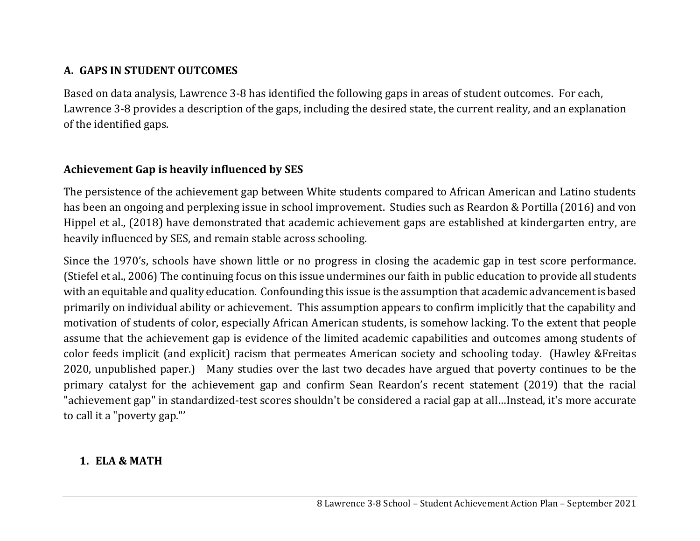### **A. GAPS IN STUDENT OUTCOMES**

Based on data analysis, Lawrence 3-8 has identified the following gaps in areas of student outcomes. For each, Lawrence 3-8 provides a description of the gaps, including the desired state, the current reality, and an explanation of the identified gaps.

### **Achievement Gap is heavily influenced by SES**

The persistence of the achievement gap between White students compared to African American and Latino students has been an ongoing and perplexing issue in school improvement. Studies such as Reardon & Portilla (2016) and von Hippel et al., (2018) have demonstrated that academic achievement gaps are established at kindergarten entry, are heavily influenced by SES, and remain stable across schooling.

Since the 1970's, schools have shown little or no progress in closing the academic gap in test score performance. (Stiefel et al., 2006) The continuing focus on this issue undermines our faith in public education to provide all students with an equitable and quality education. Confounding this issue is the assumption that academic advancement is based primarily on individual ability or achievement. This assumption appears to confirm implicitly that the capability and motivation of students of color, especially African American students, is somehow lacking. To the extent that people assume that the achievement gap is evidence of the limited academic capabilities and outcomes among students of color feeds implicit (and explicit) racism that permeates American society and schooling today. (Hawley &Freitas 2020, unpublished paper.) Many studies over the last two decades have argued that poverty continues to be the primary catalyst for the achievement gap and confirm Sean Reardon's recent statement (2019) that the racial "achievement gap" in standardized-test scores shouldn't be considered a racial gap at all…Instead, it's more accurate to call it a "poverty gap."'

### **1. ELA & MATH**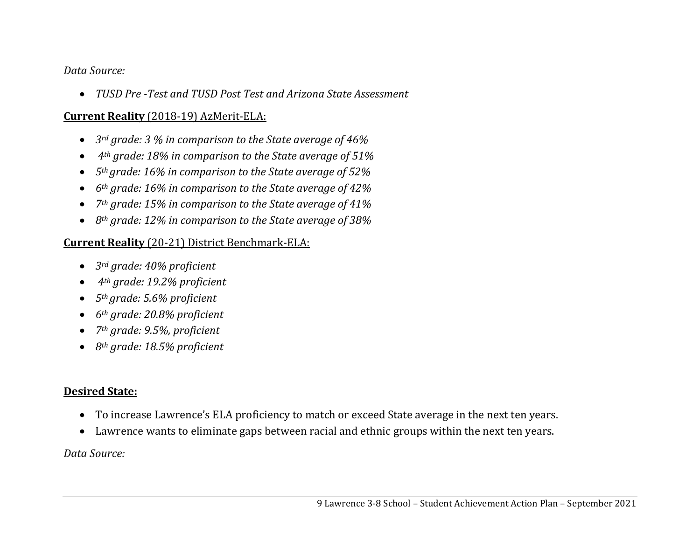#### *Data Source:*

 $\bullet$ *TUSD Pre ‐Test and TUSD Post Test and Arizona State Assessment*

#### **Current Reality** (2018-19) AzMerit-ELA:

- $\bullet$ *3rd grade: 3 % in comparison to the State average of 46%*
- $\bullet$ *4th grade: 18% in comparison to the State average of 51%*
- $\bullet$ *5th grade: 16% in comparison to the State average of 52%*
- $\bullet$ *6th grade: 16% in comparison to the State average of 42%*
- $\bullet$ *7th grade: 15% in comparison to the State average of 41%*
- *8th grade: 12% in comparison to the State average of 38%*

#### **Current Reality** (20-21) District Benchmark-ELA:

- $\bullet$ *3rd grade: 40% proficient*
- $\bullet$ *4th grade: 19.2% proficient*
- $\bullet$ *5th grade: 5.6% proficient*
- $\bullet$ *6th grade: 20.8% proficient*
- $\bullet$ *7th grade: 9.5%, proficient*
- *8th grade: 18.5% proficient*

### **Desired State:**

- To increase Lawrence's ELA proficiency to match or exceed State average in the next ten years.
- $\bullet$ Lawrence wants to eliminate gaps between racial and ethnic groups within the next ten years.

#### *Data Source:*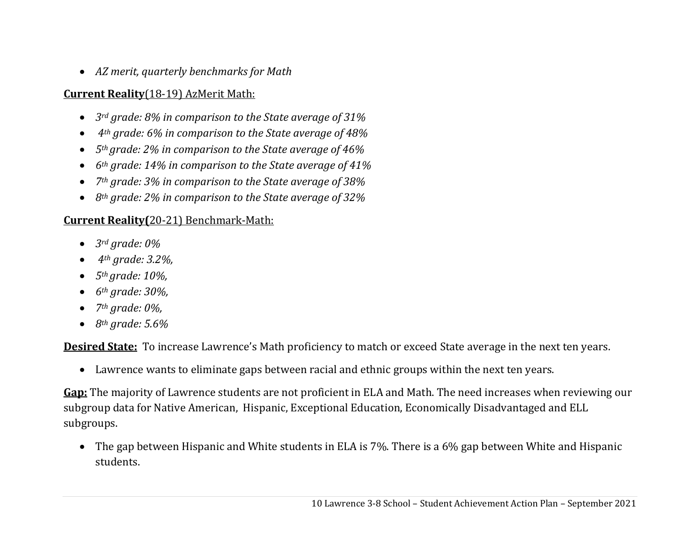*AZ merit, quarterly benchmarks for Math*

## **Current Reality**(18-19) AzMerit Math:

- $\bullet$ *3rd grade: 8% in comparison to the State average of 31%*
- $\bullet$ *4th grade: 6% in comparison to the State average of 48%*
- $\bullet$ *5th grade: 2% in comparison to the State average of 46%*
- $\bullet$ *6th grade: 14% in comparison to the State average of 41%*
- $\bullet$ *7th grade: 3% in comparison to the State average of 38%*
- *8th grade: 2% in comparison to the State average of 32%*

## **Current Reality(**20-21) Benchmark-Math:

- $\bullet$ *3rd grade: 0%*
- $\bullet$ *4th grade: 3.2%,*
- 0 *5th grade: 10%,*
- $\bullet$ *6th grade: 30%,*
- $\bullet$ *7th grade: 0%,*
- *8th grade: 5.6%*

**Desired State:** To increase Lawrence's Math proficiency to match or exceed State average in the next ten years.

Lawrence wants to eliminate gaps between racial and ethnic groups within the next ten years.

**Gap:** The majority of Lawrence students are not proficient in ELA and Math. The need increases when reviewing our subgroup data for Native American, Hispanic, Exceptional Education, Economically Disadvantaged and ELL subgroups.

 The gap between Hispanic and White students in ELA is 7%. There is a 6% gap between White and Hispanic students.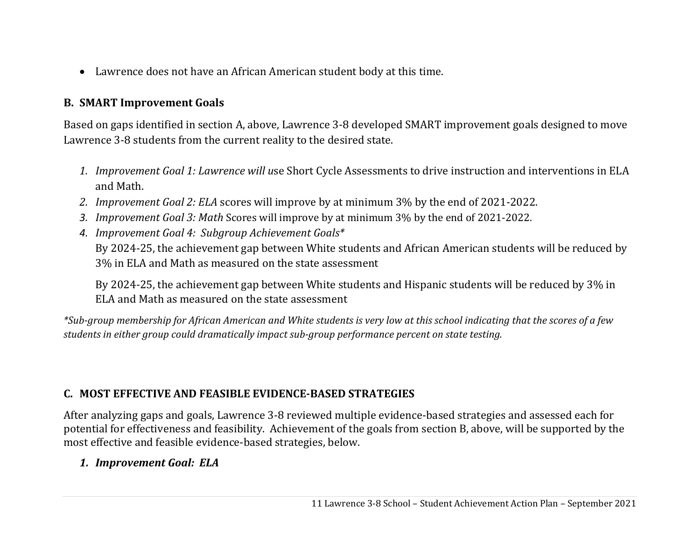Lawrence does not have an African American student body at this time.

#### **B. SMART Improvement Goals**

Based on gaps identified in section A, above, Lawrence 3-8 developed SMART improvement goals designed to move Lawrence 3-8 students from the current reality to the desired state.

- *1. Improvement Goal 1: Lawrence will u*se Short Cycle Assessments to drive instruction and interventions in ELA and Math.
- *2. Improvement Goal 2: ELA* scores will improve by at minimum 3% by the end of 2021-2022.
- *3. Improvement Goal 3: Math* Scores will improve by at minimum 3% by the end of 2021-2022.
- *4. Improvement Goal 4: Subgroup Achievement Goals\** By 2024-25, the achievement gap between White students and African American students will be reduced by 3% in ELA and Math as measured on the state assessment

By 2024-25, the achievement gap between White students and Hispanic students will be reduced by 3% in ELA and Math as measured on the state assessment

\*Sub-group membership for African American and White students is very low at this school indicating that the scores of a few *students in either group could dramatically impact sub‐group performance percent on state testing.*

### **C. MOST EFFECTIVE AND FEASIBLE EVIDENCE‐BASED STRATEGIES**

After analyzing gaps and goals, Lawrence 3-8 reviewed multiple evidence-based strategies and assessed each for potential for effectiveness and feasibility. Achievement of the goals from section B, above, will be supported by the most effective and feasible evidence-based strategies, below.

### *1. Improvement Goal: ELA*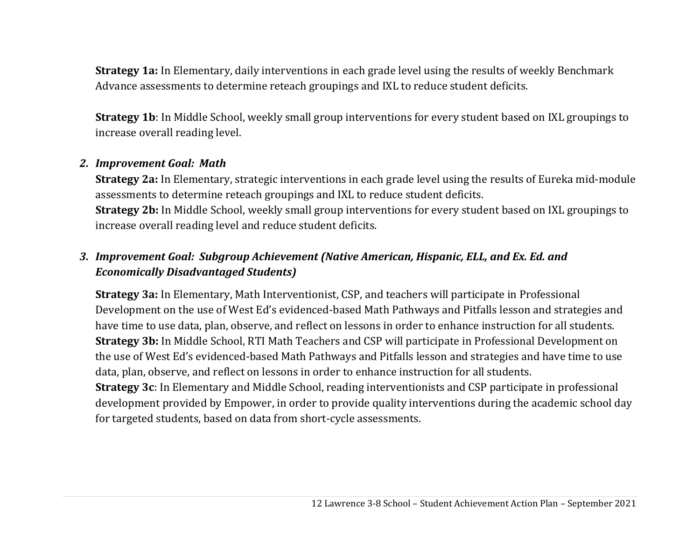**Strategy 1a:** In Elementary, daily interventions in each grade level using the results of weekly Benchmark Advance assessments to determine reteach groupings and IXL to reduce student deficits.

**Strategy 1b**: In Middle School, weekly small group interventions for every student based on IXL groupings to increase overall reading level.

#### *2. Improvement Goal: Math*

**Strategy 2a:** In Elementary, strategic interventions in each grade level using the results of Eureka mid-module assessments to determine reteach groupings and IXL to reduce student deficits. **Strategy 2b:** In Middle School, weekly small group interventions for every student based on IXL groupings to increase overall reading level and reduce student deficits.

# *3. Improvement Goal: Subgroup Achievement (Native American, Hispanic, ELL, and Ex. Ed. and Economically Disadvantaged Students)*

**Strategy 3a:** In Elementary, Math Interventionist, CSP, and teachers will participate in Professional Development on the use of West Ed's evidenced-based Math Pathways and Pitfalls lesson and strategies and have time to use data, plan, observe, and reflect on lessons in order to enhance instruction for all students. **Strategy 3b:** In Middle School, RTI Math Teachers and CSP will participate in Professional Development on the use of West Ed's evidenced-based Math Pathways and Pitfalls lesson and strategies and have time to use data, plan, observe, and reflect on lessons in order to enhance instruction for all students.

**Strategy 3c**: In Elementary and Middle School, reading interventionists and CSP participate in professional development provided by Empower, in order to provide quality interventions during the academic school day for targeted students, based on data from short-cycle assessments.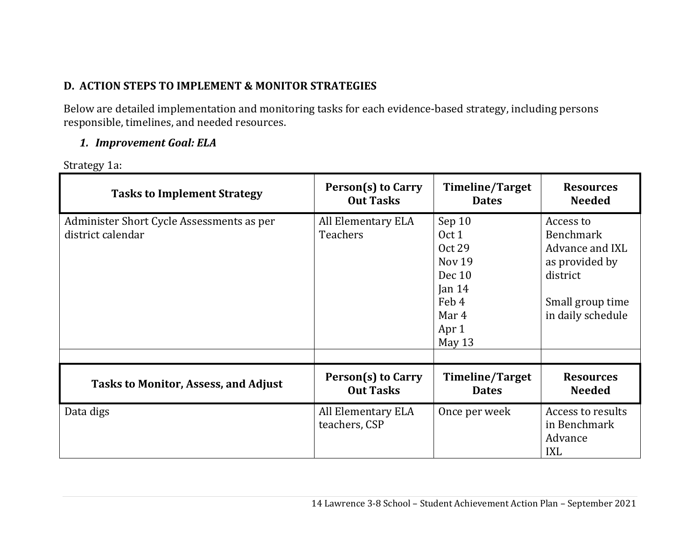# **D. ACTION STEPS TO IMPLEMENT & MONITOR STRATEGIES**

Below are detailed implementation and monitoring tasks for each evidence-based strategy, including persons responsible, timelines, and needed resources.

#### *1. Improvement Goal: ELA*

Strategy 1a:

| <b>Tasks to Implement Strategy</b>                             | Person(s) to Carry                    | <b>Timeline/Target</b>                                                                                | <b>Resources</b>                                                                                                 |
|----------------------------------------------------------------|---------------------------------------|-------------------------------------------------------------------------------------------------------|------------------------------------------------------------------------------------------------------------------|
|                                                                | <b>Out Tasks</b>                      | <b>Dates</b>                                                                                          | <b>Needed</b>                                                                                                    |
| Administer Short Cycle Assessments as per<br>district calendar | All Elementary ELA<br><b>Teachers</b> | Sep 10<br>Oct 1<br>Oct 29<br><b>Nov 19</b><br>Dec 10<br>Jan $14$<br>Feb 4<br>Mar 4<br>Apr 1<br>May 13 | Access to<br>Benchmark<br>Advance and IXL<br>as provided by<br>district<br>Small group time<br>in daily schedule |
| <b>Tasks to Monitor, Assess, and Adjust</b>                    | Person(s) to Carry                    | <b>Timeline/Target</b>                                                                                | <b>Resources</b>                                                                                                 |
|                                                                | <b>Out Tasks</b>                      | <b>Dates</b>                                                                                          | <b>Needed</b>                                                                                                    |
| Data digs                                                      | All Elementary ELA<br>teachers, CSP   | Once per week                                                                                         | Access to results<br>in Benchmark<br>Advance<br><b>IXL</b>                                                       |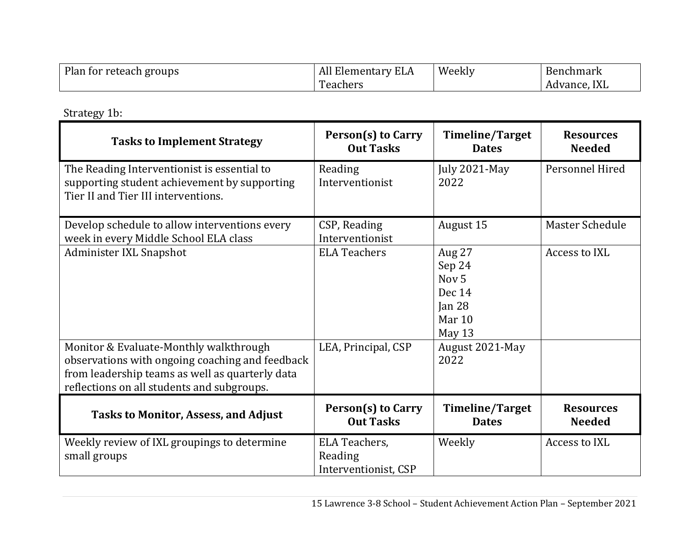| Plan for reteach groups | All Elementary ELA    | Weekly | <b>Benchmark</b> |
|-------------------------|-----------------------|--------|------------------|
|                         | reachers <sub>-</sub> |        | Advance, IXL     |

Strategy 1b:

| <b>Tasks to Implement Strategy</b>                                                                                                               | Person(s) to Carry<br><b>Out Tasks</b>           | <b>Timeline/Target</b><br><b>Dates</b>                                                            | <b>Resources</b><br><b>Needed</b> |
|--------------------------------------------------------------------------------------------------------------------------------------------------|--------------------------------------------------|---------------------------------------------------------------------------------------------------|-----------------------------------|
| The Reading Interventionist is essential to<br>supporting student achievement by supporting<br>Tier II and Tier III interventions.               | Reading<br>Interventionist                       | July 2021-May<br>2022                                                                             | Personnel Hired                   |
| Develop schedule to allow interventions every<br>week in every Middle School ELA class                                                           | CSP, Reading<br>Interventionist                  | August 15                                                                                         | <b>Master Schedule</b>            |
| Administer IXL Snapshot<br>Monitor & Evaluate-Monthly walkthrough                                                                                | <b>ELA Teachers</b><br>LEA, Principal, CSP       | Aug 27<br>Sep 24<br>Nov <sub>5</sub><br>Dec 14<br>Jan $28$<br>Mar 10<br>May 13<br>August 2021-May | Access to IXL                     |
| observations with ongoing coaching and feedback<br>from leadership teams as well as quarterly data<br>reflections on all students and subgroups. |                                                  | 2022                                                                                              |                                   |
| <b>Tasks to Monitor, Assess, and Adjust</b>                                                                                                      | Person(s) to Carry<br><b>Out Tasks</b>           | <b>Timeline/Target</b><br><b>Dates</b>                                                            | <b>Resources</b><br><b>Needed</b> |
| Weekly review of IXL groupings to determine<br>small groups                                                                                      | ELA Teachers,<br>Reading<br>Interventionist, CSP | Weekly                                                                                            | Access to IXL                     |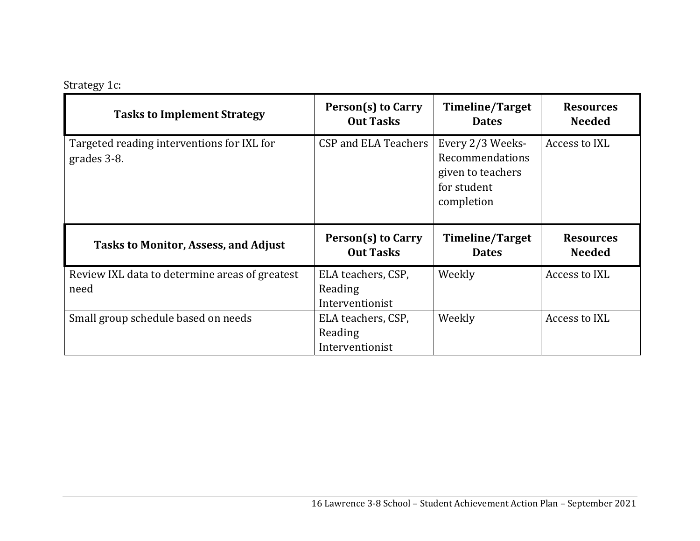# Strategy 1c:

| <b>Tasks to Implement Strategy</b>                        | <b>Person(s) to Carry</b><br><b>Out Tasks</b> | <b>Timeline/Target</b><br><b>Dates</b>                                                | <b>Resources</b><br><b>Needed</b> |
|-----------------------------------------------------------|-----------------------------------------------|---------------------------------------------------------------------------------------|-----------------------------------|
| Targeted reading interventions for IXL for<br>grades 3-8. | CSP and ELA Teachers                          | Every 2/3 Weeks-<br>Recommendations<br>given to teachers<br>for student<br>completion | Access to IXL                     |
|                                                           |                                               |                                                                                       |                                   |
| <b>Tasks to Monitor, Assess, and Adjust</b>               | Person(s) to Carry<br><b>Out Tasks</b>        | <b>Timeline/Target</b><br><b>Dates</b>                                                | <b>Resources</b><br><b>Needed</b> |
| Review IXL data to determine areas of greatest            | ELA teachers, CSP,                            | Weekly                                                                                | Access to IXL                     |
| need                                                      | Reading                                       |                                                                                       |                                   |
|                                                           | Interventionist                               |                                                                                       |                                   |
| Small group schedule based on needs                       | ELA teachers, CSP,                            | Weekly                                                                                | Access to IXL                     |
|                                                           | Reading                                       |                                                                                       |                                   |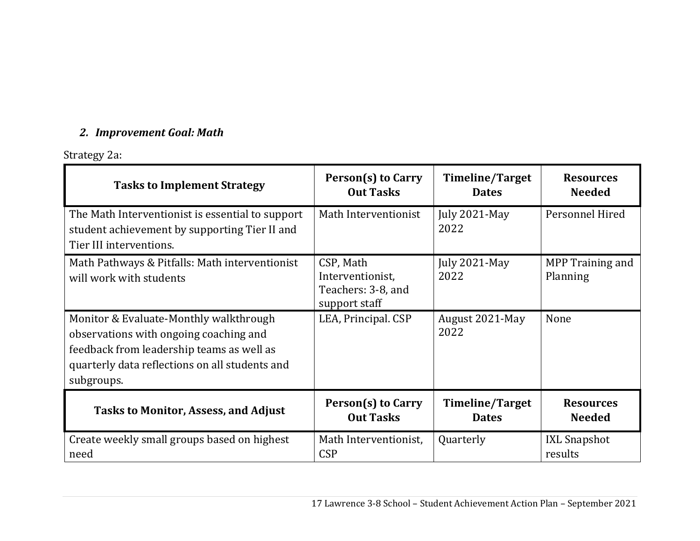# *2. Improvement Goal: Math*

# Strategy 2a:

| <b>Tasks to Implement Strategy</b>                                                                                                                                                            | Person(s) to Carry                                                   | Timeline/Target         | <b>Resources</b>             |
|-----------------------------------------------------------------------------------------------------------------------------------------------------------------------------------------------|----------------------------------------------------------------------|-------------------------|------------------------------|
|                                                                                                                                                                                               | <b>Out Tasks</b>                                                     | <b>Dates</b>            | <b>Needed</b>                |
| The Math Interventionist is essential to support<br>student achievement by supporting Tier II and<br>Tier III interventions.                                                                  | Math Interventionist                                                 | July 2021-May<br>2022   | Personnel Hired              |
| Math Pathways & Pitfalls: Math interventionist<br>will work with students                                                                                                                     | CSP, Math<br>Interventionist,<br>Teachers: 3-8, and<br>support staff | July 2021-May<br>2022   | MPP Training and<br>Planning |
| Monitor & Evaluate-Monthly walkthrough<br>observations with ongoing coaching and<br>feedback from leadership teams as well as<br>quarterly data reflections on all students and<br>subgroups. | LEA, Principal. CSP                                                  | August 2021-May<br>2022 | None                         |
| <b>Tasks to Monitor, Assess, and Adjust</b>                                                                                                                                                   | Person(s) to Carry                                                   | <b>Timeline/Target</b>  | <b>Resources</b>             |
|                                                                                                                                                                                               | <b>Out Tasks</b>                                                     | <b>Dates</b>            | <b>Needed</b>                |
| Create weekly small groups based on highest                                                                                                                                                   | Math Interventionist,                                                | Quarterly               | <b>IXL Snapshot</b>          |
| need                                                                                                                                                                                          | <b>CSP</b>                                                           |                         | results                      |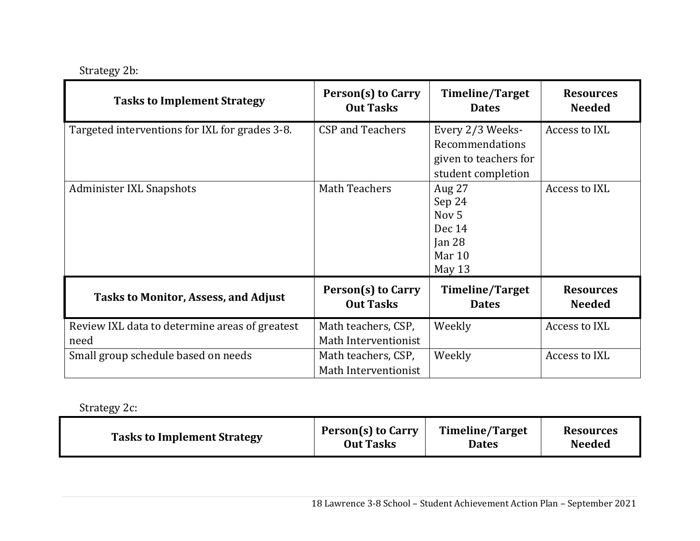| <b>Tasks to Implement Strategy</b>                     | <b>Person(s) to Carry</b><br><b>Out Tasks</b> | Timeline/Target<br><b>Dates</b>                                                    | <b>Resources</b><br><b>Needed</b> |
|--------------------------------------------------------|-----------------------------------------------|------------------------------------------------------------------------------------|-----------------------------------|
| Targeted interventions for IXL for grades 3-8.         | <b>CSP and Teachers</b>                       | Every 2/3 Weeks-<br>Recommendations<br>given to teachers for<br>student completion | Access to IXL                     |
| Administer IXL Snapshots                               | <b>Math Teachers</b>                          | Aug 27<br>Sep 24<br>Nov <sub>5</sub><br>Dec 14<br>Jan $28$<br>Mar 10<br>May 13     | Access to IXL                     |
| <b>Tasks to Monitor, Assess, and Adjust</b>            | Person(s) to Carry<br><b>Out Tasks</b>        | <b>Timeline/Target</b><br><b>Dates</b>                                             | <b>Resources</b><br><b>Needed</b> |
| Review IXL data to determine areas of greatest<br>need | Math teachers, CSP,<br>Math Interventionist   | Weekly                                                                             | Access to IXL                     |
| Small group schedule based on needs                    | Math teachers, CSP,<br>Math Interventionist   | Weekly                                                                             | Access to IXL                     |

Strategy 2c:

| <b>Tasks to Implement Strategy</b> | <b>Person(s) to Carry</b> | <b>Timeline/Target</b> | <b>Resources</b> |
|------------------------------------|---------------------------|------------------------|------------------|
|                                    | <b>Out Tasks</b>          | Dates                  | <b>Needed</b>    |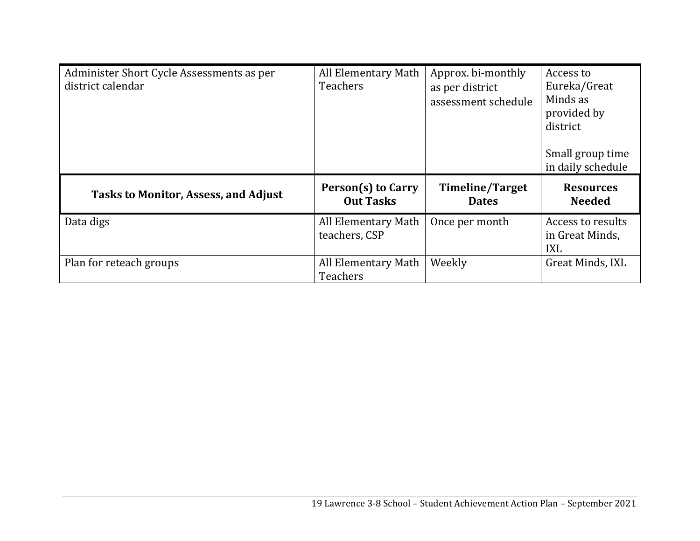| Administer Short Cycle Assessments as per<br>district calendar | All Elementary Math<br><b>Teachers</b> | Approx. bi-monthly<br>as per district<br>assessment schedule | Access to<br>Eureka/Great<br>Minds as<br>provided by<br>district<br>Small group time<br>in daily schedule |
|----------------------------------------------------------------|----------------------------------------|--------------------------------------------------------------|-----------------------------------------------------------------------------------------------------------|
| <b>Tasks to Monitor, Assess, and Adjust</b>                    | Person(s) to Carry<br><b>Out Tasks</b> | <b>Timeline/Target</b><br><b>Dates</b>                       | <b>Resources</b><br><b>Needed</b>                                                                         |
| Data digs                                                      | All Elementary Math<br>teachers, CSP   | Once per month                                               | Access to results<br>in Great Minds,<br><b>IXL</b>                                                        |
| Plan for reteach groups                                        | All Elementary Math                    | Weekly                                                       | Great Minds, IXL                                                                                          |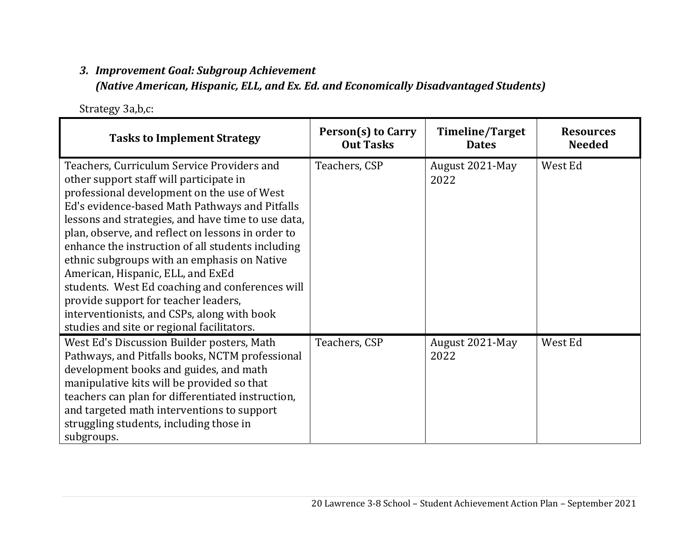#### *3. Improvement Goal: Subgroup Achievement*

*(Native American, Hispanic, ELL, and Ex. Ed. and Economically Disadvantaged Students)*

Strategy 3a,b,c:

| <b>Tasks to Implement Strategy</b>                                                                                                                                                                                                                                                                                                                                                                                                                                                                                                                                                                                                 | Person(s) to Carry<br><b>Out Tasks</b> | Timeline/Target<br><b>Dates</b> | <b>Resources</b><br><b>Needed</b> |
|------------------------------------------------------------------------------------------------------------------------------------------------------------------------------------------------------------------------------------------------------------------------------------------------------------------------------------------------------------------------------------------------------------------------------------------------------------------------------------------------------------------------------------------------------------------------------------------------------------------------------------|----------------------------------------|---------------------------------|-----------------------------------|
| Teachers, Curriculum Service Providers and<br>other support staff will participate in<br>professional development on the use of West<br>Ed's evidence-based Math Pathways and Pitfalls<br>lessons and strategies, and have time to use data,<br>plan, observe, and reflect on lessons in order to<br>enhance the instruction of all students including<br>ethnic subgroups with an emphasis on Native<br>American, Hispanic, ELL, and ExEd<br>students. West Ed coaching and conferences will<br>provide support for teacher leaders,<br>interventionists, and CSPs, along with book<br>studies and site or regional facilitators. | Teachers, CSP                          | August 2021-May<br>2022         | West Ed                           |
| West Ed's Discussion Builder posters, Math<br>Pathways, and Pitfalls books, NCTM professional<br>development books and guides, and math<br>manipulative kits will be provided so that<br>teachers can plan for differentiated instruction,<br>and targeted math interventions to support<br>struggling students, including those in<br>subgroups.                                                                                                                                                                                                                                                                                  | Teachers, CSP                          | August 2021-May<br>2022         | West Ed                           |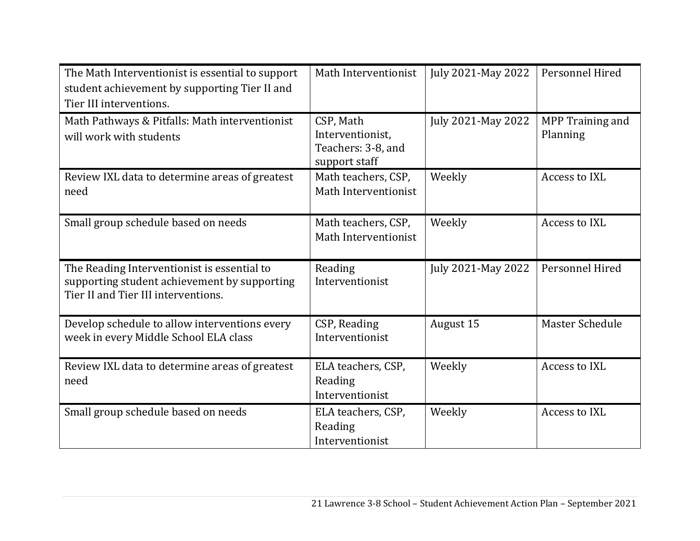| The Math Interventionist is essential to support<br>student achievement by supporting Tier II and<br>Tier III interventions.       | Math Interventionist                                                 | July 2021-May 2022 | Personnel Hired              |
|------------------------------------------------------------------------------------------------------------------------------------|----------------------------------------------------------------------|--------------------|------------------------------|
| Math Pathways & Pitfalls: Math interventionist<br>will work with students                                                          | CSP, Math<br>Interventionist,<br>Teachers: 3-8, and<br>support staff | July 2021-May 2022 | MPP Training and<br>Planning |
| Review IXL data to determine areas of greatest<br>need                                                                             | Math teachers, CSP,<br>Math Interventionist                          | Weekly             | Access to IXL                |
| Small group schedule based on needs                                                                                                | Math teachers, CSP,<br>Math Interventionist                          | Weekly             | Access to IXL                |
| The Reading Interventionist is essential to<br>supporting student achievement by supporting<br>Tier II and Tier III interventions. | Reading<br>Interventionist                                           | July 2021-May 2022 | Personnel Hired              |
| Develop schedule to allow interventions every<br>week in every Middle School ELA class                                             | CSP, Reading<br>Interventionist                                      | August 15          | Master Schedule              |
| Review IXL data to determine areas of greatest<br>need                                                                             | ELA teachers, CSP,<br>Reading<br>Interventionist                     | Weekly             | Access to IXL                |
| Small group schedule based on needs                                                                                                | ELA teachers, CSP,<br>Reading<br>Interventionist                     | Weekly             | Access to IXL                |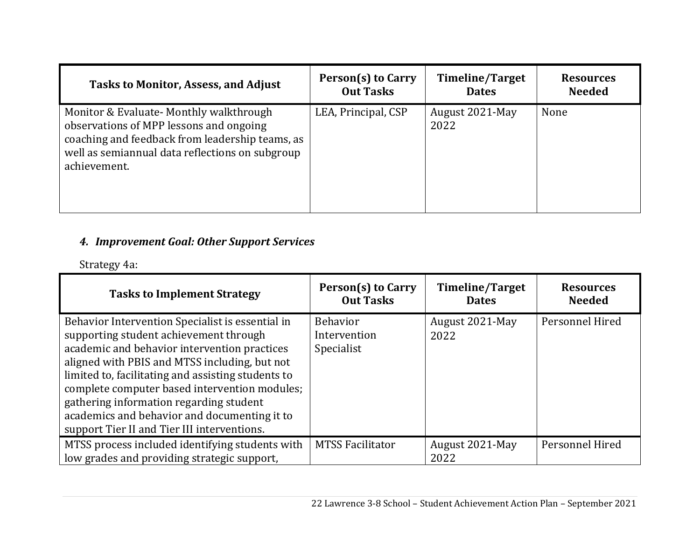| <b>Tasks to Monitor, Assess, and Adjust</b>                                                                                                                                                              | Person(s) to Carry  | <b>Timeline/Target</b>  | <b>Resources</b> |
|----------------------------------------------------------------------------------------------------------------------------------------------------------------------------------------------------------|---------------------|-------------------------|------------------|
|                                                                                                                                                                                                          | <b>Out Tasks</b>    | <b>Dates</b>            | <b>Needed</b>    |
| Monitor & Evaluate- Monthly walkthrough<br>observations of MPP lessons and ongoing<br>coaching and feedback from leadership teams, as<br>well as semiannual data reflections on subgroup<br>achievement. | LEA, Principal, CSP | August 2021-May<br>2022 | None             |

#### *4. Improvement Goal: Other Support Services*

Strategy 4a:

| <b>Tasks to Implement Strategy</b>                                                                                                                                                                                                                                                                                                                                                                                                           | Person(s) to Carry<br><b>Out Tasks</b>        | Timeline/Target<br><b>Dates</b> | <b>Resources</b><br><b>Needed</b> |
|----------------------------------------------------------------------------------------------------------------------------------------------------------------------------------------------------------------------------------------------------------------------------------------------------------------------------------------------------------------------------------------------------------------------------------------------|-----------------------------------------------|---------------------------------|-----------------------------------|
| Behavior Intervention Specialist is essential in<br>supporting student achievement through<br>academic and behavior intervention practices<br>aligned with PBIS and MTSS including, but not<br>limited to, facilitating and assisting students to<br>complete computer based intervention modules;<br>gathering information regarding student<br>academics and behavior and documenting it to<br>support Tier II and Tier III interventions. | <b>Behavior</b><br>Intervention<br>Specialist | August 2021-May<br>2022         | Personnel Hired                   |
| MTSS process included identifying students with<br>low grades and providing strategic support,                                                                                                                                                                                                                                                                                                                                               | <b>MTSS Facilitator</b>                       | August 2021-May<br>2022         | Personnel Hired                   |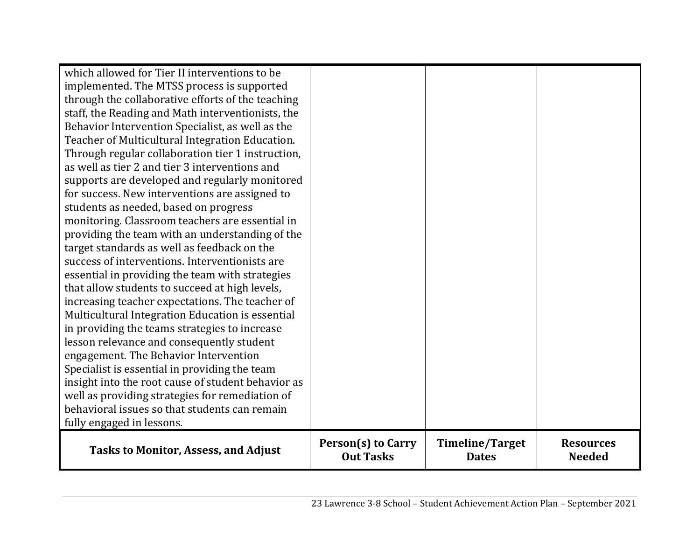| <b>Tasks to Monitor, Assess, and Adjust</b>                                                 | <b>Person(s) to Carry</b><br><b>Out Tasks</b> | Timeline/Target<br><b>Dates</b> | <b>Resources</b><br><b>Needed</b> |
|---------------------------------------------------------------------------------------------|-----------------------------------------------|---------------------------------|-----------------------------------|
| fully engaged in lessons.                                                                   |                                               |                                 |                                   |
| behavioral issues so that students can remain                                               |                                               |                                 |                                   |
| well as providing strategies for remediation of                                             |                                               |                                 |                                   |
| insight into the root cause of student behavior as                                          |                                               |                                 |                                   |
| engagement. The Behavior Intervention<br>Specialist is essential in providing the team      |                                               |                                 |                                   |
| lesson relevance and consequently student                                                   |                                               |                                 |                                   |
| in providing the teams strategies to increase                                               |                                               |                                 |                                   |
| Multicultural Integration Education is essential                                            |                                               |                                 |                                   |
| increasing teacher expectations. The teacher of                                             |                                               |                                 |                                   |
| that allow students to succeed at high levels,                                              |                                               |                                 |                                   |
| essential in providing the team with strategies                                             |                                               |                                 |                                   |
| success of interventions. Interventionists are                                              |                                               |                                 |                                   |
| target standards as well as feedback on the                                                 |                                               |                                 |                                   |
| providing the team with an understanding of the                                             |                                               |                                 |                                   |
| monitoring. Classroom teachers are essential in                                             |                                               |                                 |                                   |
| students as needed, based on progress                                                       |                                               |                                 |                                   |
| for success. New interventions are assigned to                                              |                                               |                                 |                                   |
| supports are developed and regularly monitored                                              |                                               |                                 |                                   |
| as well as tier 2 and tier 3 interventions and                                              |                                               |                                 |                                   |
| Through regular collaboration tier 1 instruction,                                           |                                               |                                 |                                   |
| Teacher of Multicultural Integration Education.                                             |                                               |                                 |                                   |
| Behavior Intervention Specialist, as well as the                                            |                                               |                                 |                                   |
| staff, the Reading and Math interventionists, the                                           |                                               |                                 |                                   |
| through the collaborative efforts of the teaching                                           |                                               |                                 |                                   |
| which allowed for Tier II interventions to be<br>implemented. The MTSS process is supported |                                               |                                 |                                   |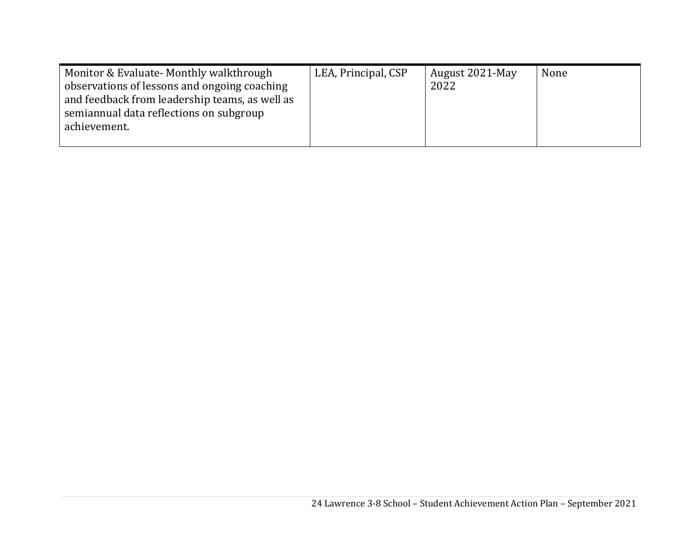| Monitor & Evaluate- Monthly walkthrough                                                        | LEA, Principal, CSP | August 2021-May | None |
|------------------------------------------------------------------------------------------------|---------------------|-----------------|------|
| observations of lessons and ongoing coaching<br>and feedback from leadership teams, as well as |                     | 2022            |      |
| semiannual data reflections on subgroup                                                        |                     |                 |      |
| achievement.                                                                                   |                     |                 |      |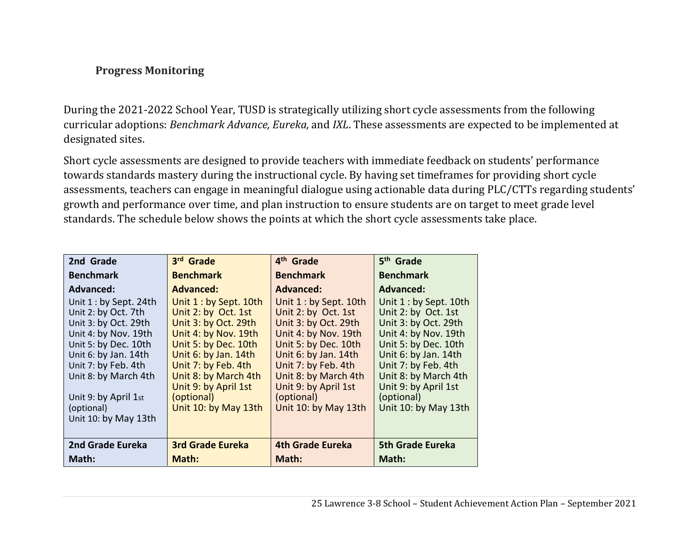#### **Progress Monitoring**

During the 2021-2022 School Year, TUSD is strategically utilizing short cycle assessments from the following curricular adoptions: *Benchmark Advance, Eureka,* and *IXL*. These assessments are expected to be implemented at designated sites.

Short cycle assessments are designed to provide teachers with immediate feedback on students' performance towards standards mastery during the instructional cycle. By having set timeframes for providing short cycle assessments, teachers can engage in meaningful dialogue using actionable data during PLC/CTTs regarding students' growth and performance over time, and plan instruction to ensure students are on target to meet grade level standards. The schedule below shows the points at which the short cycle assessments take place.

| 2nd Grade              | 3rd Grade               | 4 <sup>th</sup> Grade   | 5 <sup>th</sup> Grade   |
|------------------------|-------------------------|-------------------------|-------------------------|
| <b>Benchmark</b>       | <b>Benchmark</b>        | <b>Benchmark</b>        | <b>Benchmark</b>        |
| <b>Advanced:</b>       | <b>Advanced:</b>        | <b>Advanced:</b>        | <b>Advanced:</b>        |
| Unit 1 : by Sept. 24th | Unit 1 : by Sept. 10th  | Unit 1 : by Sept. 10th  | Unit 1 : by Sept. 10th  |
| Unit 2: by Oct. 7th    | Unit 2: by Oct. 1st     | Unit 2: by Oct. 1st     | Unit 2: by Oct. 1st     |
| Unit 3: by Oct. 29th   | Unit 3: by Oct. 29th    | Unit 3: by Oct. 29th    | Unit 3: by Oct. 29th    |
| Unit 4: by Nov. 19th   | Unit 4: by Nov. 19th    | Unit 4: by Nov. 19th    | Unit 4: by Nov. 19th    |
| Unit 5: by Dec. 10th   | Unit 5: by Dec. 10th    | Unit 5: by Dec. 10th    | Unit 5: by Dec. 10th    |
| Unit 6: by Jan. 14th   | Unit 6: by Jan. 14th    | Unit 6: by Jan. 14th    | Unit 6: by Jan. 14th    |
| Unit 7: by Feb. 4th    | Unit 7: by Feb. 4th     | Unit 7: by Feb. 4th     | Unit 7: by Feb. 4th     |
| Unit 8: by March 4th   | Unit 8: by March 4th    | Unit 8: by March 4th    | Unit 8: by March 4th    |
|                        | Unit 9: by April 1st    | Unit 9: by April 1st    | Unit 9: by April 1st    |
| Unit 9: by April 1st   | (optional)              | (optional)              | (optional)              |
| (optional)             | Unit 10: by May 13th    | Unit 10: by May 13th    | Unit 10: by May 13th    |
| Unit 10: by May 13th   |                         |                         |                         |
|                        |                         |                         |                         |
| 2nd Grade Eureka       | <b>3rd Grade Eureka</b> | <b>4th Grade Eureka</b> | <b>5th Grade Eureka</b> |
| Math:                  | Math:                   | Math:                   | Math:                   |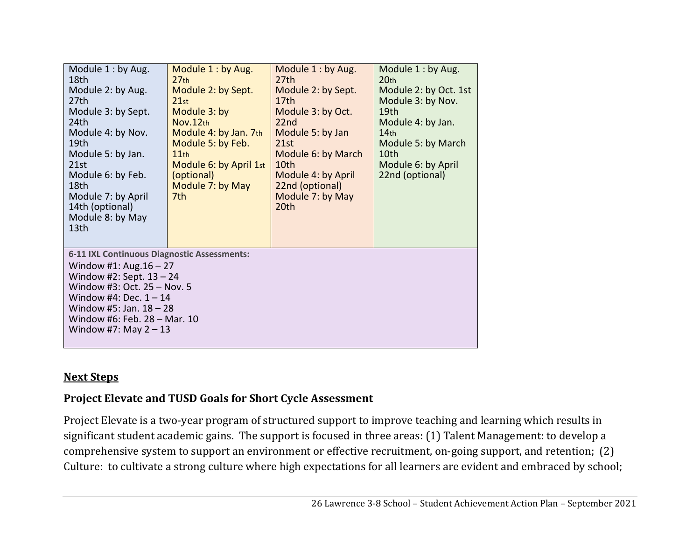| Module 1: by Aug.<br>18th<br>Module 2: by Aug.<br>27 <sub>th</sub><br>Module 3: by Sept.<br>24th<br>Module 4: by Nov.<br>19th<br>Module 5: by Jan.<br>21st<br>Module 6: by Feb.<br>18th<br>Module 7: by April<br>14th (optional)<br>Module 8: by May<br>13th     | Module 1: by Aug.<br>27 <sub>th</sub><br>Module 2: by Sept.<br>21st<br>Module 3: by<br>Nov.12th<br>Module 4: by Jan. 7th<br>Module 5: by Feb.<br>11th<br>Module 6: by April 1st<br>(optional)<br>Module 7: by May<br>7th | Module 1: by Aug.<br>27th<br>Module 2: by Sept.<br>17th<br>Module 3: by Oct.<br>22nd<br>Module 5: by Jan<br>21st<br>Module 6: by March<br>10th<br>Module 4: by April<br>22nd (optional)<br>Module 7: by May<br>20th | Module 1: by Aug.<br>20 <sub>th</sub><br>Module 2: by Oct. 1st<br>Module 3: by Nov.<br>19th<br>Module 4: by Jan.<br>14 <sub>th</sub><br>Module 5: by March<br>10th<br>Module 6: by April<br>22nd (optional) |
|------------------------------------------------------------------------------------------------------------------------------------------------------------------------------------------------------------------------------------------------------------------|--------------------------------------------------------------------------------------------------------------------------------------------------------------------------------------------------------------------------|---------------------------------------------------------------------------------------------------------------------------------------------------------------------------------------------------------------------|-------------------------------------------------------------------------------------------------------------------------------------------------------------------------------------------------------------|
| <b>6-11 IXL Continuous Diagnostic Assessments:</b><br>Window #1: Aug. $16 - 27$<br>Window #2: Sept. $13 - 24$<br>Window #3: Oct. 25 - Nov. 5<br>Window #4: Dec. $1 - 14$<br>Window #5: Jan. $18 - 28$<br>Window #6: Feb. 28 - Mar. 10<br>Window #7: May $2 - 13$ |                                                                                                                                                                                                                          |                                                                                                                                                                                                                     |                                                                                                                                                                                                             |

#### **Next Steps**

### **Project Elevate and TUSD Goals for Short Cycle Assessment**

Project Elevate is a two-year program of structured support to improve teaching and learning which results in significant student academic gains. The support is focused in three areas: (1) Talent Management: to develop a comprehensive system to support an environment or effective recruitment, on-going support, and retention; (2) Culture: to cultivate a strong culture where high expectations for all learners are evident and embraced by school;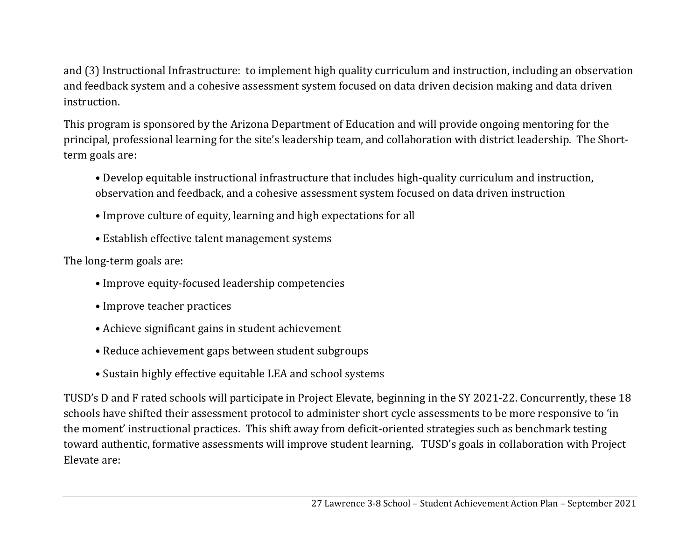and (3) Instructional Infrastructure: to implement high quality curriculum and instruction, including an observation and feedback system and a cohesive assessment system focused on data driven decision making and data driven instruction.

This program is sponsored by the Arizona Department of Education and will provide ongoing mentoring for the principal, professional learning for the site's leadership team, and collaboration with district leadership. The Shortterm goals are:

- Develop equitable instructional infrastructure that includes high-quality curriculum and instruction, observation and feedback, and a cohesive assessment system focused on data driven instruction
- Improve culture of equity, learning and high expectations for all
- Establish effective talent management systems

The long-term goals are:

- Improve equity-focused leadership competencies
- Improve teacher practices
- Achieve significant gains in student achievement
- Reduce achievement gaps between student subgroups
- Sustain highly effective equitable LEA and school systems

TUSD's D and F rated schools will participate in Project Elevate, beginning in the SY 2021-22. Concurrently, these 18 schools have shifted their assessment protocol to administer short cycle assessments to be more responsive to 'in the moment' instructional practices. This shift away from deficit-oriented strategies such as benchmark testing toward authentic, formative assessments will improve student learning. TUSD's goals in collaboration with Project Elevate are: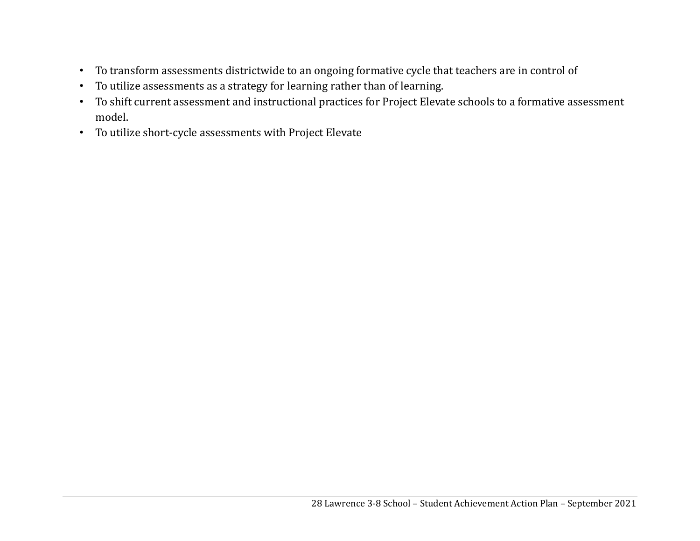- To transform assessments districtwide to an ongoing formative cycle that teachers are in control of
- To utilize assessments as a strategy for learning rather than of learning.
- To shift current assessment and instructional practices for Project Elevate schools to a formative assessment model.
- To utilize short-cycle assessments with Project Elevate